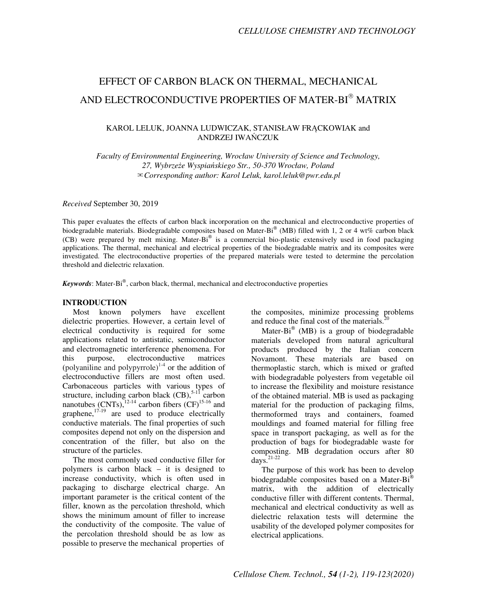# EFFECT OF CARBON BLACK ON THERMAL, MECHANICAL AND ELECTROCONDUCTIVE PROPERTIES OF MATER-BI® MATRIX

# KAROL LELUK, JOANNA LUDWICZAK, STANISŁAW FRĄCKOWIAK and ANDRZEJ IWAŃCZUK

*Faculty of Environmental Engineering, Wrocław University of Science and Technology, 27, Wybrze*ż*e Wyspia*ń*skiego Str., 50-370 Wrocław, Poland*  ✉*Corresponding author: Karol Leluk, karol.leluk@pwr.edu.pl* 

*Received* September 30, 2019

This paper evaluates the effects of carbon black incorporation on the mechanical and electroconductive properties of biodegradable materials. Biodegradable composites based on Mater-Bi® (MB) filled with 1, 2 or 4 wt% carbon black (CB) were prepared by melt mixing. Mater-Bi® is a commercial bio-plastic extensively used in food packaging applications. The thermal, mechanical and electrical properties of the biodegradable matrix and its composites were investigated. The electroconductive properties of the prepared materials were tested to determine the percolation threshold and dielectric relaxation.

*Keywords*: Mater-Bi , carbon black, thermal, mechanical and electroconductive properties

# **INTRODUCTION**

Most known polymers have excellent dielectric properties. However, a certain level of electrical conductivity is required for some applications related to antistatic, semiconductor and electromagnetic interference phenomena. For this purpose, electroconductive matrices (polyaniline and polypyrrole)<sup> $1-4$ </sup> or the addition of electroconductive fillers are most often used. Carbonaceous particles with various types of structure, including carbon black  $(CB)$ ,<sup>5-11</sup> carbon nanotubes (CNTs), $^{12-14}$  carbon fibers (CF)<sup>15-16</sup> and graphene, $17-19$  are used to produce electrically conductive materials. The final properties of such composites depend not only on the dispersion and concentration of the filler, but also on the structure of the particles.

The most commonly used conductive filler for polymers is carbon black – it is designed to increase conductivity, which is often used in packaging to discharge electrical charge. An important parameter is the critical content of the filler, known as the percolation threshold, which shows the minimum amount of filler to increase the conductivity of the composite. The value of the percolation threshold should be as low as possible to preserve the mechanical properties of

the composites, minimize processing problems and reduce the final cost of the materials.<sup>20</sup>

Mater-Bi $^{\circ}$  (MB) is a group of biodegradable materials developed from natural agricultural products produced by the Italian concern Novamont. These materials are based on thermoplastic starch, which is mixed or grafted with biodegradable polyesters from vegetable oil to increase the flexibility and moisture resistance of the obtained material. MB is used as packaging material for the production of packaging films, thermoformed trays and containers, foamed mouldings and foamed material for filling free space in transport packaging, as well as for the production of bags for biodegradable waste for composting. MB degradation occurs after 80 days. $21-22$ 

The purpose of this work has been to develop biodegradable composites based on a Mater-Bi<sup>®</sup> matrix, with the addition of electrically conductive filler with different contents. Thermal, mechanical and electrical conductivity as well as dielectric relaxation tests will determine the usability of the developed polymer composites for electrical applications.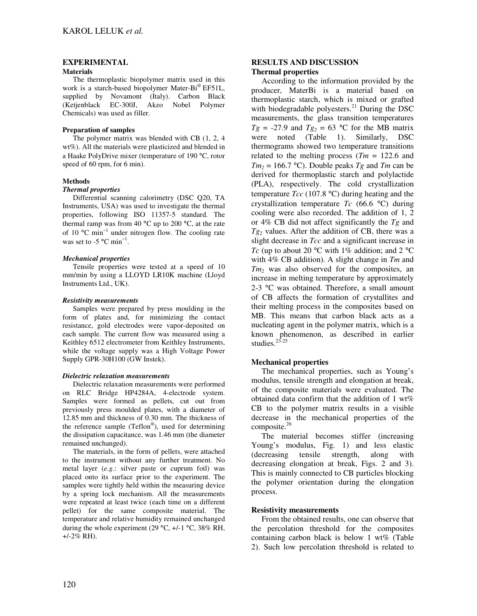# **EXPERIMENTAL**

#### **Materials**

The thermoplastic biopolymer matrix used in this work is a starch-based biopolymer Mater-Bi® EF51L, supplied by Novamont (Italy). Carbon Black (Ketjenblack EC-300J, Akzo Nobel Polymer Chemicals) was used as filler.

# **Preparation of samples**

The polymer matrix was blended with CB (1, 2, 4 wt%). All the materials were plasticized and blended in a Haake PolyDrive mixer (temperature of 190 °C, rotor speed of 60 rpm, for 6 min).

# **Methods**

#### *Thermal properties*

Differential scanning calorimetry (DSC Q20, TA Instruments, USA) was used to investigate the thermal properties, following ISO 11357-5 standard. The thermal ramp was from 40  $^{\circ}$ C up to 200  $^{\circ}$ C, at the rate of 10 °C min−1 under nitrogen flow. The cooling rate was set to -5  $^{\circ}$ C min<sup>-1</sup>.

# *Mechanical properties*

Tensile properties were tested at a speed of 10 mm/min by using a LLOYD LR10K machine (Lloyd Instruments Ltd., UK).

#### *Resistivity measurements*

Samples were prepared by press moulding in the form of plates and, for minimizing the contact resistance, gold electrodes were vapor-deposited on each sample. The current flow was measured using a Keithley 6512 electrometer from Keithley Instruments, while the voltage supply was a High Voltage Power Supply GPR-30H100 (GW Instek).

# *Dielectric relaxation measurements*

Dielectric relaxation measurements were performed on RLC Bridge HP4284A, 4-electrode system. Samples were formed as pellets, cut out from previously press moulded plates, with a diameter of 12.85 mm and thickness of 0.30 mm. The thickness of the reference sample (Teflon® ), used for determining the dissipation capacitance, was 1.46 mm (the diameter remained unchanged).

The materials, in the form of pellets, were attached to the instrument without any further treatment. No metal layer (*e.g*.: silver paste or cuprum foil) was placed onto its surface prior to the experiment. The samples were tightly held within the measuring device by a spring lock mechanism. All the measurements were repeated at least twice (each time on a different pellet) for the same composite material. The temperature and relative humidity remained unchanged during the whole experiment (29  $^{\circ}$ C,  $+/-1$   $^{\circ}$ C, 38% RH, +/-2% RH).

# **RESULTS AND DISCUSSION Thermal properties**

According to the information provided by the producer, MaterBi is a material based on thermoplastic starch, which is mixed or grafted with biodegradable polyesters. $^{21}$  During the DSC measurements, the glass transition temperatures  $Tg = -27.9$  and  $Tg<sub>2</sub> = 63$  °C for the MB matrix were noted (Table 1). Similarly, DSC thermograms showed two temperature transitions related to the melting process  $(Tm = 122.6$  and  $Tm_2 = 166.7$  °C). Double peaks *Tg* and *Tm* can be derived for thermoplastic starch and polylactide (PLA), respectively. The cold crystallization temperature *Tcc* (107.8 °C) during heating and the crystallization temperature *Tc* (66.6 °C) during cooling were also recorded. The addition of 1, 2 or 4% CB did not affect significantly the *Tg* and  $Tg_2$  values. After the addition of CB, there was a slight decrease in *Tcc* and a significant increase in *Tc* (up to about 20  $\degree$ C with 1% addition; and 2  $\degree$ C with 4% CB addition). A slight change in *Tm* and *Tm<sup>2</sup>* was also observed for the composites, an increase in melting temperature by approximately 2-3 °C was obtained. Therefore, a small amount of CB affects the formation of crystallites and their melting process in the composites based on MB. This means that carbon black acts as a nucleating agent in the polymer matrix, which is a known phenomenon, as described in earlier studies. $23-25$ 

# **Mechanical properties**

The mechanical properties, such as Young's modulus, tensile strength and elongation at break, of the composite materials were evaluated. The obtained data confirm that the addition of 1  $wt\%$ CB to the polymer matrix results in a visible decrease in the mechanical properties of the composite.<sup>26</sup>

The material becomes stiffer (increasing Young's modulus, Fig. 1) and less elastic (decreasing tensile strength, along with decreasing elongation at break, Figs. 2 and 3). This is mainly connected to CB particles blocking the polymer orientation during the elongation process.

# **Resistivity measurements**

From the obtained results, one can observe that the percolation threshold for the composites containing carbon black is below 1 wt% (Table 2). Such low percolation threshold is related to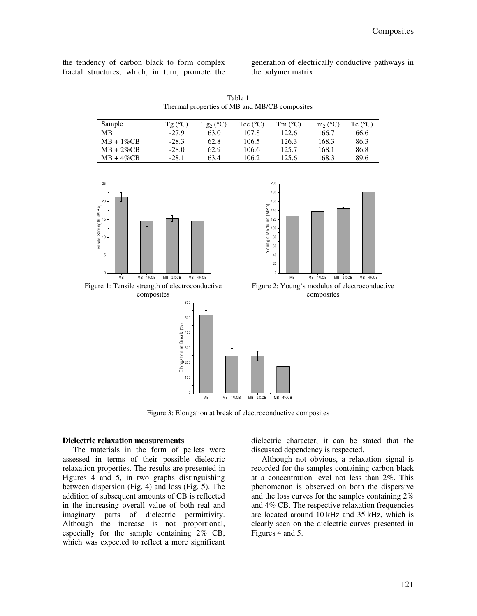the tendency of carbon black to form complex fractal structures, which, in turn, promote the generation of electrically conductive pathways in the polymer matrix.

Table 1 Thermal properties of MB and MB/CB composites

| Sample        | $Tg(^{\circ}C)$ | $Tg_2$ (°C) | Tcc $(^{\circ}C)$ | Tm (°C) | $Tm_2$ (°C) | Tc $(^{\circ}C)$ |
|---------------|-----------------|-------------|-------------------|---------|-------------|------------------|
| МB            | $-279$          | 63.0        | 107.8             | 122.6   | 166.7       | 66.6             |
| $MB + 1\%CB$  | $-28.3$         | 62.8        | 106.5             | 126.3   | 168.3       | 86.3             |
| $MB + 2\%$ CB | $-28.0$         | 62.9        | 106.6             | 125.7   | 168.1       | 86.8             |
| $MB + 4\%$ CB | -28.1           | 63.4        | 106.2             | 125.6   | 168.3       | 89.6             |





Figure 2: Young's modulus of electroconductive composites

Figure 1: Tensile strength of electroconductive composites



Figure 3: Elongation at break of electroconductive composites

# **Dielectric relaxation measurements**

The materials in the form of pellets were assessed in terms of their possible dielectric relaxation properties. The results are presented in Figures 4 and 5, in two graphs distinguishing between dispersion (Fig. 4) and loss (Fig. 5). The addition of subsequent amounts of CB is reflected in the increasing overall value of both real and imaginary parts of dielectric permittivity. Although the increase is not proportional, especially for the sample containing 2% CB, which was expected to reflect a more significant

dielectric character, it can be stated that the discussed dependency is respected.

Although not obvious, a relaxation signal is recorded for the samples containing carbon black at a concentration level not less than 2%. This phenomenon is observed on both the dispersive and the loss curves for the samples containing 2% and 4% CB. The respective relaxation frequencies are located around 10 kHz and 35 kHz, which is clearly seen on the dielectric curves presented in Figures 4 and 5.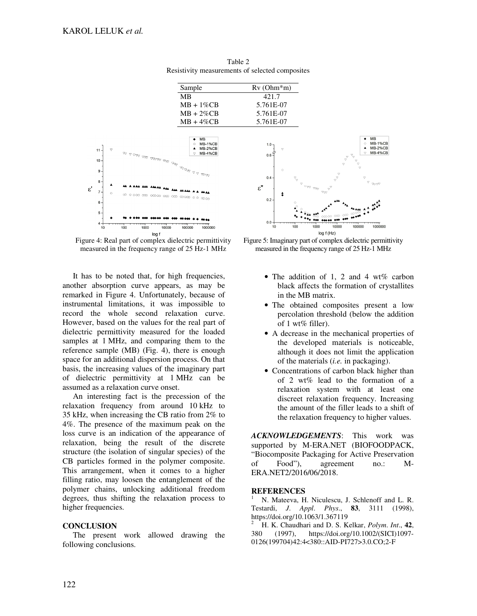

Table 2 Resistivity measurements of selected composites



It has to be noted that, for high frequencies, another absorption curve appears, as may be remarked in Figure 4. Unfortunately, because of instrumental limitations, it was impossible to record the whole second relaxation curve. However, based on the values for the real part of dielectric permittivity measured for the loaded samples at 1 MHz, and comparing them to the reference sample (MB) (Fig. 4), there is enough space for an additional dispersion process. On that basis, the increasing values of the imaginary part of dielectric permittivity at 1 MHz can be assumed as a relaxation curve onset.

An interesting fact is the precession of the relaxation frequency from around 10 kHz to 35 kHz, when increasing the CB ratio from 2% to 4%. The presence of the maximum peak on the loss curve is an indication of the appearance of relaxation, being the result of the discrete structure (the isolation of singular species) of the CB particles formed in the polymer composite. This arrangement, when it comes to a higher filling ratio, may loosen the entanglement of the polymer chains, unlocking additional freedom degrees, thus shifting the relaxation process to higher frequencies.

# **CONCLUSION**

The present work allowed drawing the following conclusions.



Figure 5: Imaginary part of complex dielectric permittivity measured in the frequency range of 25 Hz-1 MHz

- The addition of 1, 2 and 4 wt% carbon black affects the formation of crystallites in the MB matrix.
- The obtained composites present a low percolation threshold (below the addition of 1 wt% filler).
- A decrease in the mechanical properties of the developed materials is noticeable, although it does not limit the application of the materials (*i.e.* in packaging).
- Concentrations of carbon black higher than of 2 wt% lead to the formation of a relaxation system with at least one discreet relaxation frequency. Increasing the amount of the filler leads to a shift of the relaxation frequency to higher values.

*ACKNOWLEDGEMENTS*: This work was supported by M-ERA.NET (BIOFOODPACK, "Biocomposite Packaging for Active Preservation of Food"), agreement no.: M-ERA.NET2/2016/06/2018.

# **REFERENCES**

<sup>1</sup> N. Mateeva, H. Niculescu, J. Schlenoff and L. R. Testardi, *J*. *Appl*. *Phys*., **83**, 3111 (1998), https://doi.org/10.1063/1.367119

<sup>2</sup> H. K. Chaudhari and D. S. Kelkar, *Polym*. *Int*., **42**, 380 (1997), https://doi.org/10.1002/(SICI)1097- 0126(199704)42:4<380::AID-PI727>3.0.CO;2-F